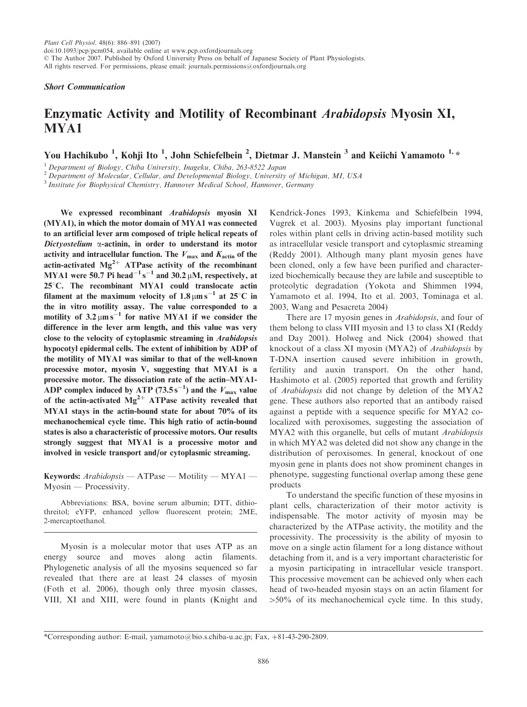Short Communication

## Enzymatic Activity and Motility of Recombinant Arabidopsis Myosin XI, MYA1

You Hachikubo <sup>1</sup>, Kohji Ito <sup>1</sup>, John Schiefelbein <sup>2</sup>, Dietmar J. Manstein <sup>3</sup> and Keiichi Yamamoto <sup>1,</sup> \*

 $1$  Department of Biology, Chiba University, Inageku, Chiba, 263-8522 Japan

 $2$  Department of Molecular, Cellular, and Developmental Biology, University of Michigan, MI, USA

<sup>3</sup> Institute for Biophysical Chemistry, Hannover Medical School, Hannover, Germany

We expressed recombinant Arabidopsis myosin XI (MYA1), in which the motor domain of MYA1 was connected to an artificial lever arm composed of triple helical repeats of Dictyostelium  $\alpha$ -actinin, in order to understand its motor activity and intracellular function. The  $V_{\text{max}}$  and  $K_{\text{action}}$  of the actin-activated  $Mg^{2+}$  ATPase activity of the recombinant MYA1 were 50.7 Pi head $^{-1}$  s<sup>-1</sup> and 30.2 µM, respectively, at  $25^{\circ}$ C. The recombinant MYA1 could translocate actin filament at the maximum velocity of  $1.8 \mu m s^{-1}$  at  $25^{\circ}$ C in the in vitro motility assay. The value corresponded to a motility of  $3.2 \mu m s^{-1}$  for native MYA1 if we consider the difference in the lever arm length, and this value was very close to the velocity of cytoplasmic streaming in Arabidopsis hypocotyl epidermal cells. The extent of inhibition by ADP of the motility of MYA1 was similar to that of the well-known processive motor, myosin V, suggesting that MYA1 is a processive motor. The dissociation rate of the actin–MYA1- ADP complex induced by ATP (73.5s<sup>-1</sup>) and the  $V_{\text{max}}$  value of the actin-activated  $Mg^{2+}$  ATPase activity revealed that MYA1 stays in the actin-bound state for about 70% of its mechanochemical cycle time. This high ratio of actin-bound states is also a characteristic of processive motors. Our results strongly suggest that MYA1 is a processive motor and involved in vesicle transport and/or cytoplasmic streaming.

Keywords: Arabidopsis — ATPase — Motility — MYA1 — Myosin — Processivity.

Abbreviations: BSA, bovine serum albumin; DTT, dithiothreitol; eYFP, enhanced yellow fluorescent protein; 2ME, 2-mercaptoethanol.

Myosin is a molecular motor that uses ATP as an energy source and moves along actin filaments. Phylogenetic analysis of all the myosins sequenced so far revealed that there are at least 24 classes of myosin (Foth et al. 2006), though only three myosin classes, VIII, XI and XIII, were found in plants (Knight and

Kendrick-Jones 1993, Kinkema and Schiefelbein 1994, Vugrek et al. 2003). Myosins play important functional roles within plant cells in driving actin-based motility such as intracellular vesicle transport and cytoplasmic streaming (Reddy 2001). Although many plant myosin genes have been cloned, only a few have been purified and characterized biochemically because they are labile and susceptible to proteolytic degradation (Yokota and Shimmen 1994, Yamamoto et al. 1994, Ito et al. 2003, Tominaga et al. 2003, Wang and Pesacreta 2004)

There are 17 myosin genes in Arabidopsis, and four of them belong to class VIII myosin and 13 to class XI (Reddy and Day 2001). Holweg and Nick (2004) showed that knockout of a class XI myosin (MYA2) of Arabidopsis by T-DNA insertion caused severe inhibition in growth, fertility and auxin transport. On the other hand, Hashimoto et al. (2005) reported that growth and fertility of Arabidopsis did not change by deletion of the MYA2 gene. These authors also reported that an antibody raised against a peptide with a sequence specific for MYA2 colocalized with peroxisomes, suggesting the association of MYA2 with this organelle, but cells of mutant Arabidopsis in which MYA2 was deleted did not show any change in the distribution of peroxisomes. In general, knockout of one myosin gene in plants does not show prominent changes in phenotype, suggesting functional overlap among these gene products

To understand the specific function of these myosins in plant cells, characterization of their motor activity is indispensable. The motor activity of myosin may be characterized by the ATPase activity, the motility and the processivity. The processivity is the ability of myosin to move on a single actin filament for a long distance without detaching from it, and is a very important characteristic for a myosin participating in intracellular vesicle transport. This processive movement can be achieved only when each head of two-headed myosin stays on an actin filament for  $>50\%$  of its mechanochemical cycle time. In this study,

<sup>\*</sup>Corresponding author: E-mail, yamamoto@bio.s.chiba-u.ac.jp; Fax,  $+81-43-290-2809$ .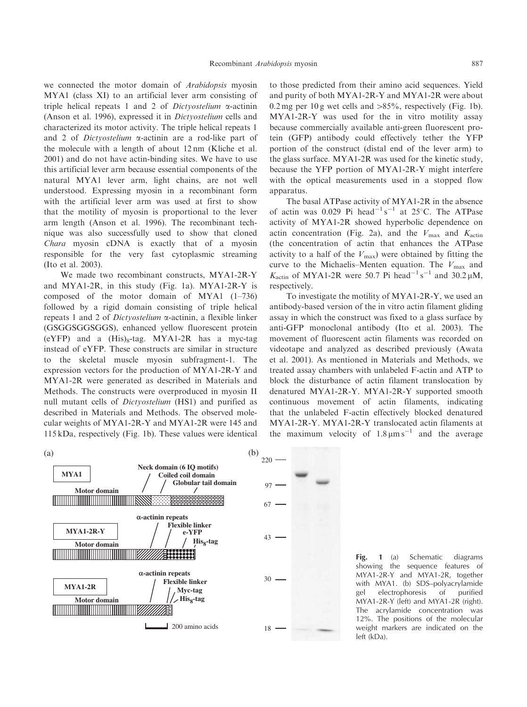we connected the motor domain of Arabidopsis myosin MYA1 (class XI) to an artificial lever arm consisting of triple helical repeats 1 and 2 of *Dictyostelium*  $\alpha$ -actinin (Anson et al. 1996), expressed it in Dictyostelium cells and characterized its motor activity. The triple helical repeats 1 and 2 of *Dictyostelium*  $\alpha$ -actinin are a rod-like part of the molecule with a length of about 12 nm (Kliche et al. 2001) and do not have actin-binding sites. We have to use this artificial lever arm because essential components of the natural MYA1 lever arm, light chains, are not well understood. Expressing myosin in a recombinant form with the artificial lever arm was used at first to show that the motility of myosin is proportional to the lever arm length (Anson et al. 1996). The recombinant technique was also successfully used to show that cloned Chara myosin cDNA is exactly that of a myosin responsible for the very fast cytoplasmic streaming (Ito et al. 2003).

We made two recombinant constructs, MYA1-2R-Y and MYA1-2R, in this study (Fig. 1a). MYA1-2R-Y is composed of the motor domain of MYA1 (1–736) followed by a rigid domain consisting of triple helical repeats 1 and 2 of *Dictyostelium*  $\alpha$ -actinin, a flexible linker (GSGGSGGSGGS), enhanced yellow fluorescent protein (eYFP) and a  $(His)_8$ -tag. MYA1-2R has a myc-tag instead of eYFP. These constructs are similar in structure to the skeletal muscle myosin subfragment-1. The expression vectors for the production of MYA1-2R-Y and MYA1-2R were generated as described in Materials and Methods. The constructs were overproduced in myosin II null mutant cells of Dictyostelium (HS1) and purified as described in Materials and Methods. The observed molecular weights of MYA1-2R-Y and MYA1-2R were 145 and 115 kDa, respectively (Fig. 1b). These values were identical

to those predicted from their amino acid sequences. Yield and purity of both MYA1-2R-Y and MYA1-2R were about 0.2 mg per 10 g wet cells and  $>85\%$ , respectively (Fig. 1b). MYA1-2R-Y was used for the in vitro motility assay because commercially available anti-green fluorescent protein (GFP) antibody could effectively tether the YFP portion of the construct (distal end of the lever arm) to the glass surface. MYA1-2R was used for the kinetic study, because the YFP portion of MYA1-2R-Y might interfere with the optical measurements used in a stopped flow apparatus.

The basal ATPase activity of MYA1-2R in the absence of actin was 0.029 Pi head<sup>-1</sup> s<sup>-1</sup> at 25°C. The ATPase activity of MYA1-2R showed hyperbolic dependence on actin concentration (Fig. 2a), and the  $V_{\text{max}}$  and  $K_{\text{actin}}$ (the concentration of actin that enhances the ATPase activity to a half of the  $V_{\text{max}}$ ) were obtained by fitting the curve to the Michaelis–Menten equation. The  $V_{\text{max}}$  and  $K_{\text{actin}}$  of MYA1-2R were 50.7 Pi head<sup>-1</sup> s<sup>-1</sup> and 30.2  $\mu$ M, respectively.

To investigate the motility of MYA1-2R-Y, we used an antibody-based version of the in vitro actin filament gliding assay in which the construct was fixed to a glass surface by anti-GFP monoclonal antibody (Ito et al. 2003). The movement of fluorescent actin filaments was recorded on videotape and analyzed as described previously (Awata et al. 2001). As mentioned in Materials and Methods, we treated assay chambers with unlabeled F-actin and ATP to block the disturbance of actin filament translocation by denatured MYA1-2R-Y. MYA1-2R-Y supported smooth continuous movement of actin filaments, indicating that the unlabeled F-actin effectively blocked denatured MYA1-2R-Y. MYA1-2R-Y translocated actin filaments at the maximum velocity of  $1.8 \mu m s^{-1}$  and the average



Fig. 1 (a) Schematic diagrams showing the sequence features of MYA1-2R-Y and MYA1-2R, together with MYA1. (b) SDS–polyacrylamide gel electrophoresis of purified MYA1-2R-Y (left) and MYA1-2R (right). The acrylamide concentration was 12%. The positions of the molecular weight markers are indicated on the left (kDa).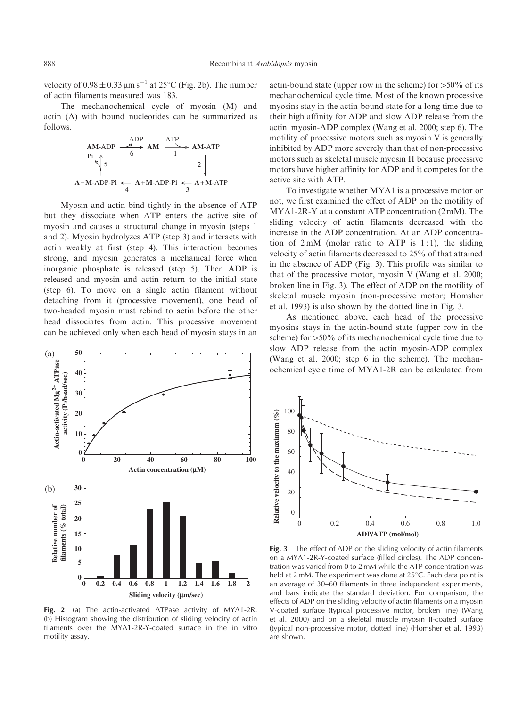velocity of  $0.98 \pm 0.33 \,\mathrm{\upmu m\,s}^{-1}$  at  $25^{\circ}$ C (Fig. 2b). The number of actin filaments measured was 183.

The mechanochemical cycle of myosin (M) and actin (A) with bound nucleotides can be summarized as follows.

$$
AM-ADP \xrightarrow{ADP} AM \xrightarrow{ATP} AM-ATP
$$
\n
$$
\uparrow \uparrow
$$
\n
$$
5 \xrightarrow{6} 2 \qquad \downarrow
$$
\n
$$
A-M-ADP-Pi \xleftarrow{4} A+M-ADP-Pi \xleftarrow{3} A+M-ATP
$$

Myosin and actin bind tightly in the absence of ATP but they dissociate when ATP enters the active site of myosin and causes a structural change in myosin (steps 1 and 2). Myosin hydrolyzes ATP (step 3) and interacts with actin weakly at first (step 4). This interaction becomes strong, and myosin generates a mechanical force when inorganic phosphate is released (step 5). Then ADP is released and myosin and actin return to the initial state (step 6). To move on a single actin filament without detaching from it (processive movement), one head of two-headed myosin must rebind to actin before the other head dissociates from actin. This processive movement can be achieved only when each head of myosin stays in an



Fig. 2 (a) The actin-activated ATPase activity of MYA1-2R. (b) Histogram showing the distribution of sliding velocity of actin filaments over the MYA1-2R-Y-coated surface in the in vitro motility assay.

actin-bound state (upper row in the scheme) for  $>50\%$  of its mechanochemical cycle time. Most of the known processive myosins stay in the actin-bound state for a long time due to their high affinity for ADP and slow ADP release from the actin–myosin-ADP complex (Wang et al. 2000; step 6). The motility of processive motors such as myosin V is generally inhibited by ADP more severely than that of non-processive motors such as skeletal muscle myosin II because processive motors have higher affinity for ADP and it competes for the active site with ATP.

To investigate whether MYA1 is a processive motor or not, we first examined the effect of ADP on the motility of MYA1-2R-Y at a constant ATP concentration (2 mM). The sliding velocity of actin filaments decreased with the increase in the ADP concentration. At an ADP concentration of  $2 \text{ mM}$  (molar ratio to ATP is 1:1), the sliding velocity of actin filaments decreased to 25% of that attained in the absence of ADP (Fig. 3). This profile was similar to that of the processive motor, myosin V (Wang et al. 2000; broken line in Fig. 3). The effect of ADP on the motility of skeletal muscle myosin (non-processive motor; Homsher et al. 1993) is also shown by the dotted line in Fig. 3.

As mentioned above, each head of the processive myosins stays in the actin-bound state (upper row in the scheme) for  $>50\%$  of its mechanochemical cycle time due to slow ADP release from the actin–myosin-ADP complex (Wang et al. 2000; step 6 in the scheme). The mechanochemical cycle time of MYA1-2R can be calculated from



Fig. 3 The effect of ADP on the sliding velocity of actin filaments on a MYA1-2R-Y-coated surface (filled circles). The ADP concentration was varied from 0 to 2 mM while the ATP concentration was held at 2 mM. The experiment was done at  $25^{\circ}$ C. Each data point is an average of 30–60 filaments in three independent experiments, and bars indicate the standard deviation. For comparison, the effects of ADP on the sliding velocity of actin filaments on a myosin V-coated surface (typical processive motor, broken line) (Wang et al. 2000) and on a skeletal muscle myosin II-coated surface (typical non-processive motor, dotted line) (Homsher et al. 1993) are shown.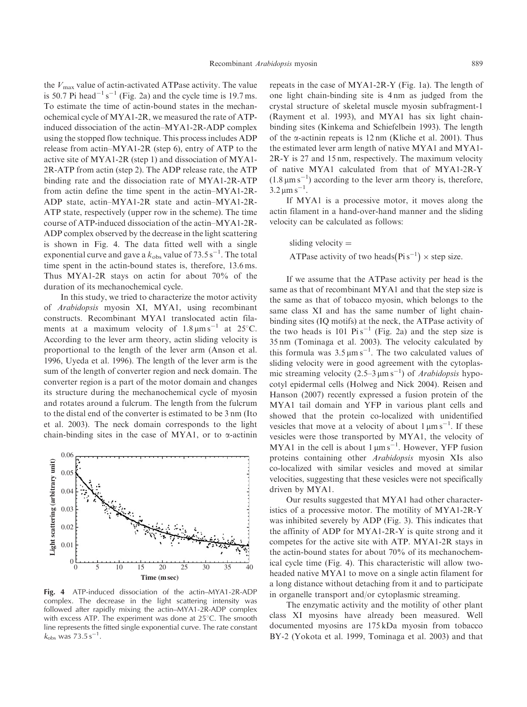the  $V_{\text{max}}$  value of actin-activated ATPase activity. The value is 50.7 Pi head<sup>-1</sup> s<sup>-1</sup> (Fig. 2a) and the cycle time is 19.7 ms. To estimate the time of actin-bound states in the mechanochemical cycle of MYA1-2R, we measured the rate of ATPinduced dissociation of the actin–MYA1-2R-ADP complex using the stopped flow technique. This process includes ADP release from actin–MYA1-2R (step 6), entry of ATP to the active site of MYA1-2R (step 1) and dissociation of MYA1- 2R-ATP from actin (step 2). The ADP release rate, the ATP binding rate and the dissociation rate of MYA1-2R-ATP from actin define the time spent in the actin–MYA1-2R-ADP state, actin–MYA1-2R state and actin–MYA1-2R-ATP state, respectively (upper row in the scheme). The time course of ATP-induced dissociation of the actin–MYA1-2R-ADP complex observed by the decrease in the light scattering is shown in Fig. 4. The data fitted well with a single exponential curve and gave a  $k_{\rm obs}$  value of 73.5  $\rm s^{-1}$ . The total time spent in the actin-bound states is, therefore, 13.6 ms. Thus MYA1-2R stays on actin for about 70% of the duration of its mechanochemical cycle.

In this study, we tried to characterize the motor activity of Arabidopsis myosin XI, MYA1, using recombinant constructs. Recombinant MYA1 translocated actin filaments at a maximum velocity of  $1.8 \text{ }\mu\text{m s}^{-1}$  at  $25^{\circ}\text{C}$ . According to the lever arm theory, actin sliding velocity is proportional to the length of the lever arm (Anson et al. 1996, Uyeda et al. 1996). The length of the lever arm is the sum of the length of converter region and neck domain. The converter region is a part of the motor domain and changes its structure during the mechanochemical cycle of myosin and rotates around a fulcrum. The length from the fulcrum to the distal end of the converter is estimated to be 3 nm (Ito et al. 2003). The neck domain corresponds to the light chain-binding sites in the case of MYA1, or to  $\alpha$ -actinin



Fig. 4 ATP-induced dissociation of the actin–MYA1-2R-ADP complex. The decrease in the light scattering intensity was followed after rapidly mixing the actin–MYA1-2R-ADP complex with excess ATP. The experiment was done at  $25^{\circ}$ C. The smooth line represents the fitted single exponential curve. The rate constant  $k_{\text{obs}}$  was 73.5 s<sup>-1</sup>.

repeats in the case of MYA1-2R-Y (Fig. 1a). The length of one light chain-binding site is 4 nm as judged from the crystal structure of skeletal muscle myosin subfragment-1 (Rayment et al. 1993), and MYA1 has six light chainbinding sites (Kinkema and Schiefelbein 1993). The length of the  $\alpha$ -actinin repeats is 12 nm (Kliche et al. 2001). Thus the estimated lever arm length of native MYA1 and MYA1- 2R-Y is 27 and 15 nm, respectively. The maximum velocity of native MYA1 calculated from that of MYA1-2R-Y  $(1.8 \,\mu m s^{-1})$  according to the lever arm theory is, therefore,  $3.2 \,\mathrm{\mu m\,s}^{-1}$ .

If MYA1 is a processive motor, it moves along the actin filament in a hand-over-hand manner and the sliding velocity can be calculated as follows:

sliding velocity  $=$ ATPase activity of two heads  $(\text{Pi s}^{-1}) \times \text{step size}$ .

If we assume that the ATPase activity per head is the same as that of recombinant MYA1 and that the step size is the same as that of tobacco myosin, which belongs to the same class XI and has the same number of light chainbinding sites (IQ motifs) at the neck, the ATPase activity of the two heads is 101  $\mathrm{Pi} \,\mathrm{s}^{-1}$  (Fig. 2a) and the step size is 35 nm (Tominaga et al. 2003). The velocity calculated by this formula was  $3.5 \mu m s^{-1}$ . The two calculated values of sliding velocity were in good agreement with the cytoplasmic streaming velocity  $(2.5-3 \,\mu m s^{-1})$  of *Arabidopsis* hypocotyl epidermal cells (Holweg and Nick 2004). Reisen and Hanson (2007) recently expressed a fusion protein of the MYA1 tail domain and YFP in various plant cells and showed that the protein co-localized with unidentified vesicles that move at a velocity of about  $1 \mu m s^{-1}$ . If these vesicles were those transported by MYA1, the velocity of MYA1 in the cell is about  $1 \mu m s^{-1}$ . However, YFP fusion proteins containing other Arabidopsis myosin XIs also co-localized with similar vesicles and moved at similar velocities, suggesting that these vesicles were not specifically driven by MYA1.

Our results suggested that MYA1 had other characteristics of a processive motor. The motility of MYA1-2R-Y was inhibited severely by ADP (Fig. 3). This indicates that the affinity of ADP for MYA1-2R-Y is quite strong and it competes for the active site with ATP. MYA1-2R stays in the actin-bound states for about 70% of its mechanochemical cycle time (Fig. 4). This characteristic will allow twoheaded native MYA1 to move on a single actin filament for a long distance without detaching from it and to participate in organelle transport and/or cytoplasmic streaming.

The enzymatic activity and the motility of other plant class XI myosins have already been measured. Well documented myosins are 175 kDa myosin from tobacco BY-2 (Yokota et al. 1999, Tominaga et al. 2003) and that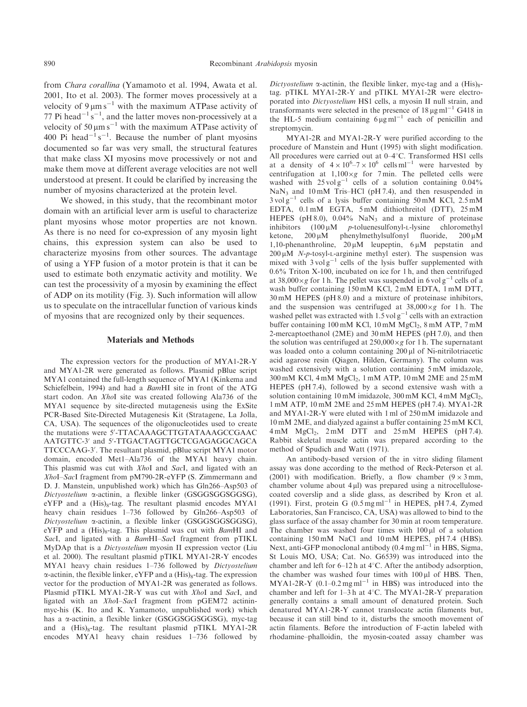from Chara corallina (Yamamoto et al. 1994, Awata et al. 2001, Ito et al. 2003). The former moves processively at a velocity of  $9 \mu m s^{-1}$  with the maximum ATPase activity of 77 Pi head<sup>-1</sup> s<sup>-1</sup>, and the latter moves non-processively at a velocity of 50  $\mu$ m s<sup>-1</sup> with the maximum ATPase activity of 400 Pi head<sup>-1</sup> s<sup>-1</sup>. Because the number of plant myosins documented so far was very small, the structural features that make class XI myosins move processively or not and make them move at different average velocities are not well understood at present. It could be clarified by increasing the number of myosins characterized at the protein level.

We showed, in this study, that the recombinant motor domain with an artificial lever arm is useful to characterize plant myosins whose motor properties are not known. As there is no need for co-expression of any myosin light chains, this expression system can also be used to characterize myosins from other sources. The advantage of using a YFP fusion of a motor protein is that it can be used to estimate both enzymatic activity and motility. We can test the processivity of a myosin by examining the effect of ADP on its motility (Fig. 3). Such information will allow us to speculate on the intracellular function of various kinds of myosins that are recognized only by their sequences.

## Materials and Methods

The expression vectors for the production of MYA1-2R-Y and MYA1-2R were generated as follows. Plasmid pBlue script MYA1 contained the full-length sequence of MYA1 (Kinkema and Schiefelbein, 1994) and had a BamHI site in front of the ATG start codon. An XhoI site was created following Ala736 of the MYA1 sequence by site-directed mutagenesis using the ExSite PCR-Based Site-Directed Mutagenesis Kit (Stratagene, La Jolla, CA, USA). The sequences of the oligonucleotides used to create the mutations were 5'-TTACAAAGCTTGTATAAAGCCGAAC AATGTTC-3' and 5'-TTGACTAGTTGCTCGAGAGGCAGCA TTCCCAAG-3'. The resultant plasmid, pBlue script MYA1 motor domain, encoded Met1–Ala736 of the MYA1 heavy chain. This plasmid was cut with *XhoI* and *SacI*, and ligated with an XhoI–SacI fragment from pM790-2R-eYFP (S. Zimmermann and D. J. Manstein, unpublished work) which has Gln266–Asp503 of Dictyostelium a-actinin, a flexible linker (GSGGSGGSGGSG), eYFP and a  $(His)_{8}$ -tag. The resultant plasmid encodes MYA1 heavy chain residues 1–736 followed by Gln266–Asp503 of Dictyostelium a-actinin, a flexible linker (GSGGSGGSGGSG), eYFP and a  $(His)_{8}$ -tag. This plasmid was cut with *BamHI* and SacI, and ligated with a BamHI-SacI fragment from pTIKL MyDAp that is a Dictyostelium myosin II expression vector (Liu et al. 2000). The resultant plasmid pTIKL MYA1-2R-Y encodes MYA1 heavy chain residues 1–736 followed by Dictyostelium  $\alpha$ -actinin, the flexible linker, eYFP and a (His)<sub>8</sub>-tag. The expression vector for the production of MYA1-2R was generated as follows. Plasmid pTIKL MYA1-2R-Y was cut with XhoI and SacI, and ligated with an XhoI–SacI fragment from pGEM72 actininmyc-his (K. Ito and K. Yamamoto, unpublished work) which has a α-actinin, a flexible linker (GSGGSGGSGGSG), myc-tag and a  $(His)_{8}$ -tag. The resultant plasmid pTIKL MYA1-2R encodes MYA1 heavy chain residues 1–736 followed by

Dictyostelium  $\alpha$ -actinin, the flexible linker, myc-tag and a (His)<sub>8</sub>tag. pTIKL MYA1-2R-Y and pTIKL MYA1-2R were electroporated into Dictyostelium HS1 cells, a myosin II null strain, and transformants were selected in the presence of  $18 \mu g \text{m}^{-1}$  G418 in the HL-5 medium containing  $6 \mu g$  ml<sup>-1</sup> each of penicillin and streptomycin.

MYA1-2R and MYA1-2R-Y were purified according to the procedure of Manstein and Hunt (1995) with slight modification. All procedures were carried out at 0-4°C. Transformed HS1 cells at a density of  $4 \times 10^6 - 7 \times 10^6$  cells ml<sup>-1</sup> were harvested by centrifugation at  $1,100 \times g$  for 7 min. The pelleted cells were washed with  $25 \text{ volg}^{-1}$  cells of a solution containing 0.04% NaN<sub>3</sub> and  $10 \text{ mM}$  Tris–HCl (pH 7.4), and then resuspended in  $3 \text{ vol } g^{-1}$  cells of a lysis buffer containing 50 mM KCl, 2.5 mM EDTA, 0.1 mM EGTA, 5 mM dithiothreitol (DTT), 25 mM HEPES (pH 8.0), 0.04% NaN<sub>3</sub> and a mixture of proteinase inhibitors (100  $\mu$ M *p*-toluenesulfonyl-L-lysine chloromethyl  $(100 \mu M \quad p\text{-tolueness of the velocity})$ -L-lysine chloromethyl ketone,  $200 \mu M$  phenylmethylsulfonyl fluoride,  $200 \mu M$ 1,10-phenanthroline,  $20 \mu M$  leupeptin,  $6 \mu M$  pepstatin and  $200 \mu M$  N-p-tosyl-L-arginine methyl ester). The suspension was mixed with  $3 \text{ vol } g^{-1}$  cells of the lysis buffer supplemented with 0.6% Triton X-100, incubated on ice for 1 h, and then centrifuged at 38,000 $\times$ g for 1 h. The pellet was suspended in 6 vol g<sup>-1</sup> cells of a wash buffer containing 150 mM KCl, 2 mM EDTA, 1 mM DTT, 30 mM HEPES (pH 8.0) and a mixture of proteinase inhibitors, and the suspension was centrifuged at  $38,000 \times g$  for 1 h. The washed pellet was extracted with  $1.5$  vol  $g^{-1}$  cells with an extraction buffer containing  $100 \text{ mM KCl}$ ,  $10 \text{ mM MgCl}_2$ ,  $8 \text{ mM ATP}$ ,  $7 \text{ mM}$ 2-mercaptoethanol (2ME) and 30 mM HEPES (pH 7.0), and then the solution was centrifuged at  $250,000 \times g$  for 1 h. The supernatant was loaded onto a column containing  $200 \mu$ l of Ni-nitrilotriacetic acid agarose resin (Qiagen, Hilden, Germany). The column was washed extensively with a solution containing 5 mM imidazole, 300 mM KCl, 4 mM MgCl<sub>2</sub>, 1 mM ATP, 10 mM 2ME and 25 mM HEPES (pH 7.4), followed by a second extensive wash with a solution containing 10 mM imidazole, 300 mM KCl,  $4 \text{ mM } MgCl<sub>2</sub>$ , 1 mM ATP, 10 mM 2ME and 25 mM HEPES (pH 7.4). MYA1-2R and MYA1-2R-Y were eluted with 1 ml of 250 mM imidazole and 10 mM 2ME, and dialyzed against a buffer containing 25 mM KCl, 4 mM MgCl2, 2 mM DTT and 25 mM HEPES (pH 7.4). Rabbit skeletal muscle actin was prepared according to the method of Spudich and Watt (1971).

An antibody-based version of the in vitro sliding filament assay was done according to the method of Reck-Peterson et al. (2001) with modification. Briefly, a flow chamber  $(9 \times 3 \text{ mm})$ , chamber volume about  $4 \mu$ l) was prepared using a nitrocellulosecoated coverslip and a slide glass, as described by Kron et al. (1991). First, protein G  $(0.5 \,\text{mg}\,\text{m}^{-1}$  in HEPES, pH 7.4, Zymed Laboratories, San Francisco, CA, USA) was allowed to bind to the glass surface of the assay chamber for 30 min at room temperature. The chamber was washed four times with  $100 \mu l$  of a solution containing 150 mM NaCl and 10 mM HEPES, pH 7.4 (HBS). Next, anti-GFP monoclonal antibody  $(0.4 \text{ mg ml}^{-1} \text{ in HBS}, \text{Sigma},$ St Louis MO, USA; Cat. No. G6539) was introduced into the chamber and left for  $6-12h$  at  $4^{\circ}$ C. After the antibody adsorption, the chamber was washed four times with  $100 \mu l$  of HBS. Then,  $MYA1-2R-Y$  (0.1–0.2 mg ml<sup>-1</sup> in HBS) was introduced into the chamber and left for  $1-3h$  at  $4^{\circ}$ C. The MYA1-2R-Y preparation generally contains a small amount of denatured protein. Such denatured MYA1-2R-Y cannot translocate actin filaments but, because it can still bind to it, disturbs the smooth movement of actin filaments. Before the introduction of F-actin labeled with rhodamine–phalloidin, the myosin-coated assay chamber was